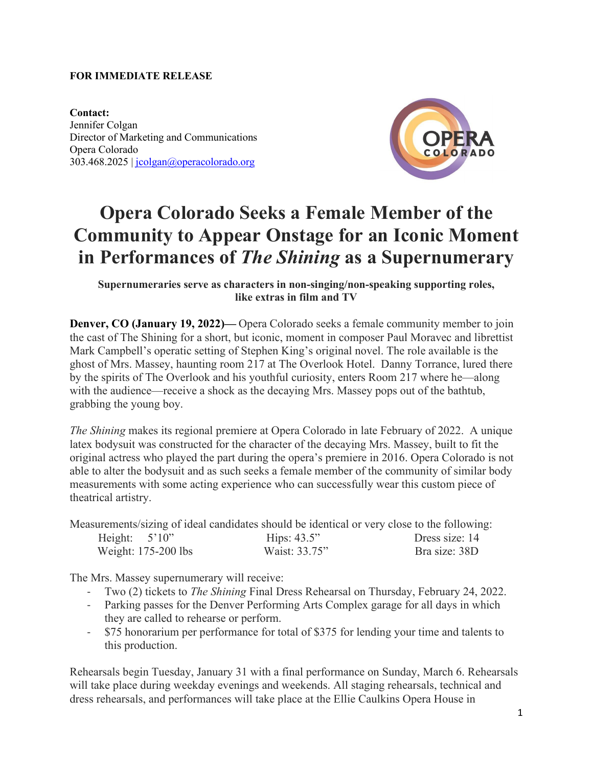## **FOR IMMEDIATE RELEASE**

**Contact:**  Jennifer Colgan Director of Marketing and Communications Opera Colorado 303.468.2025 | [jcolgan@operacolorado.org](mailto:jcolgan@operacolorado.org)



## **Opera Colorado Seeks a Female Member of the Community to Appear Onstage for an Iconic Moment in Performances of** *The Shining* **as a Supernumerary**

**Supernumeraries serve as characters in non-singing/non-speaking supporting roles, like extras in film and TV**

**Denver, CO (January 19, 2022)—** Opera Colorado seeks a female community member to join the cast of The Shining for a short, but iconic, moment in composer Paul Moravec and librettist Mark Campbell's operatic setting of Stephen King's original novel. The role available is the ghost of Mrs. Massey, haunting room 217 at The Overlook Hotel. Danny Torrance, lured there by the spirits of The Overlook and his youthful curiosity, enters Room 217 where he—along with the audience—receive a shock as the decaying Mrs. Massey pops out of the bathtub, grabbing the young boy.

*The Shining* makes its regional premiere at Opera Colorado in late February of 2022. A unique latex bodysuit was constructed for the character of the decaying Mrs. Massey, built to fit the original actress who played the part during the opera's premiere in 2016. Opera Colorado is not able to alter the bodysuit and as such seeks a female member of the community of similar body measurements with some acting experience who can successfully wear this custom piece of theatrical artistry.

Measurements/sizing of ideal candidates should be identical or very close to the following:

| Height: $5'10''$      | Hips: $43.5$ " | Dress size: 14 |
|-----------------------|----------------|----------------|
| Weight: $175-200$ lbs | Waist: 33.75"  | Bra size: 38D  |

The Mrs. Massey supernumerary will receive:

- Two (2) tickets to *The Shining* Final Dress Rehearsal on Thursday, February 24, 2022.
- Parking passes for the Denver Performing Arts Complex garage for all days in which they are called to rehearse or perform.
- \$75 honorarium per performance for total of \$375 for lending your time and talents to this production.

Rehearsals begin Tuesday, January 31 with a final performance on Sunday, March 6. Rehearsals will take place during weekday evenings and weekends. All staging rehearsals, technical and dress rehearsals, and performances will take place at the Ellie Caulkins Opera House in